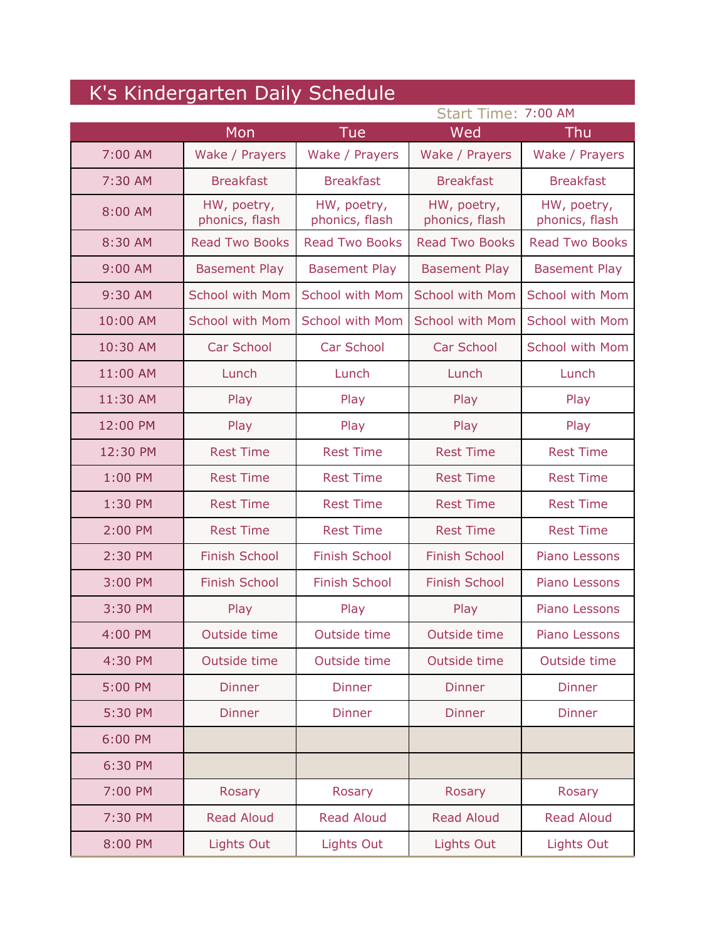| K's Kindergarten Daily Schedule |                               |                               |                               |                               |
|---------------------------------|-------------------------------|-------------------------------|-------------------------------|-------------------------------|
|                                 |                               |                               | Start Time: 7:00 AM           |                               |
|                                 | Mon                           | <b>Tue</b>                    | Wed                           | Thu                           |
| 7:00 AM                         | Wake / Prayers                | Wake / Prayers                | Wake / Prayers                | Wake / Prayers                |
| 7:30 AM                         | <b>Breakfast</b>              | <b>Breakfast</b>              | <b>Breakfast</b>              | <b>Breakfast</b>              |
| 8:00 AM                         | HW, poetry,<br>phonics, flash | HW, poetry,<br>phonics, flash | HW, poetry,<br>phonics, flash | HW, poetry,<br>phonics, flash |
| 8:30 AM                         | <b>Read Two Books</b>         | <b>Read Two Books</b>         | <b>Read Two Books</b>         | <b>Read Two Books</b>         |
| 9:00 AM                         | <b>Basement Play</b>          | <b>Basement Play</b>          | <b>Basement Play</b>          | <b>Basement Play</b>          |
| 9:30 AM                         | <b>School with Mom</b>        | <b>School with Mom</b>        | <b>School with Mom</b>        | <b>School with Mom</b>        |
| 10:00 AM                        | <b>School with Mom</b>        | <b>School with Mom</b>        | <b>School with Mom</b>        | <b>School with Mom</b>        |
| 10:30 AM                        | <b>Car School</b>             | Car School                    | Car School                    | <b>School with Mom</b>        |
| 11:00 AM                        | Lunch                         | Lunch                         | Lunch                         | Lunch                         |
| 11:30 AM                        | Play                          | Play                          | Play                          | Play                          |
| 12:00 PM                        | Play                          | Play                          | Play                          | Play                          |
| 12:30 PM                        | <b>Rest Time</b>              | <b>Rest Time</b>              | <b>Rest Time</b>              | <b>Rest Time</b>              |
| 1:00 PM                         | <b>Rest Time</b>              | <b>Rest Time</b>              | <b>Rest Time</b>              | <b>Rest Time</b>              |
| 1:30 PM                         | <b>Rest Time</b>              | <b>Rest Time</b>              | <b>Rest Time</b>              | <b>Rest Time</b>              |
| 2:00 PM                         | <b>Rest Time</b>              | <b>Rest Time</b>              | <b>Rest Time</b>              | <b>Rest Time</b>              |
| 2:30 PM                         | <b>Finish School</b>          | <b>Finish School</b>          | <b>Finish School</b>          | Piano Lessons                 |
| 3:00 PM                         | <b>Finish School</b>          | <b>Finish School</b>          | <b>Finish School</b>          | Piano Lessons                 |
| 3:30 PM                         | Play                          | Play                          | Play                          | Piano Lessons                 |
| 4:00 PM                         | Outside time                  | Outside time                  | Outside time                  | Piano Lessons                 |
| 4:30 PM                         | Outside time                  | Outside time                  | Outside time                  | Outside time                  |
| 5:00 PM                         | <b>Dinner</b>                 | <b>Dinner</b>                 | <b>Dinner</b>                 | <b>Dinner</b>                 |
| 5:30 PM                         | <b>Dinner</b>                 | <b>Dinner</b>                 | <b>Dinner</b>                 | <b>Dinner</b>                 |
| 6:00 PM                         |                               |                               |                               |                               |
| 6:30 PM                         |                               |                               |                               |                               |
| 7:00 PM                         | Rosary                        | Rosary                        | Rosary                        | Rosary                        |
| 7:30 PM                         | <b>Read Aloud</b>             | <b>Read Aloud</b>             | <b>Read Aloud</b>             | <b>Read Aloud</b>             |
| 8:00 PM                         | Lights Out                    | Lights Out                    | <b>Lights Out</b>             | <b>Lights Out</b>             |